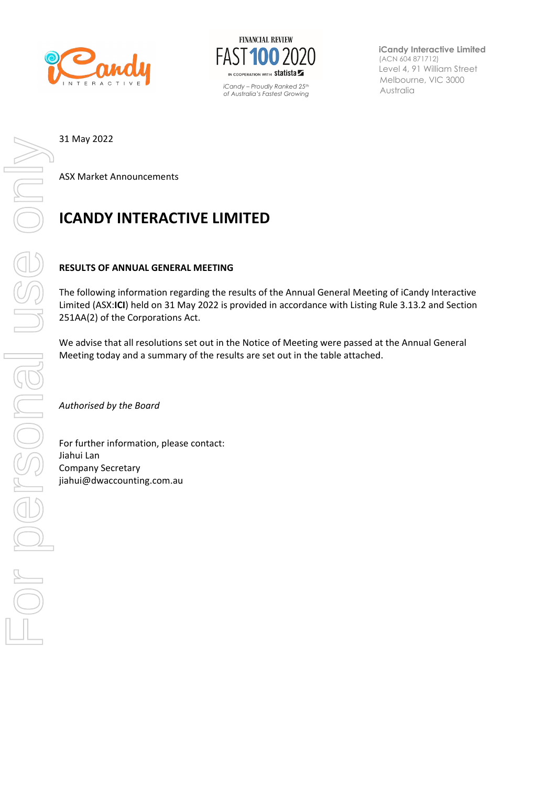



Australia *iCandy – Proudly Ranked 25th of Australia's Fastest Growing* 

**iCandy Interactive Limited** (ACN 604 871712) Level 4, 91 William Street Melbourne, VIC 3000

ASX Market Announcements

## **ICANDY INTERACTIVE LIMITED**

## **RESULTS OF ANNUAL GENERAL MEETING**

The following information regarding the results of the Annual General Meeting of iCandy Interactive Limited (ASX:**ICI**) held on 31 May 2022 is provided in accordance with Listing Rule 3.13.2 and Section 251AA(2) of the Corporations Act.

We advise that all resolutions set out in the Notice of Meeting were passed at the Annual General Meeting today and a summary of the results are set out in the table attached.

*Authorised by the Board*

For further information, please contact: Jiahui Lan Company Secretary jiahui@dwaccounting.com.au